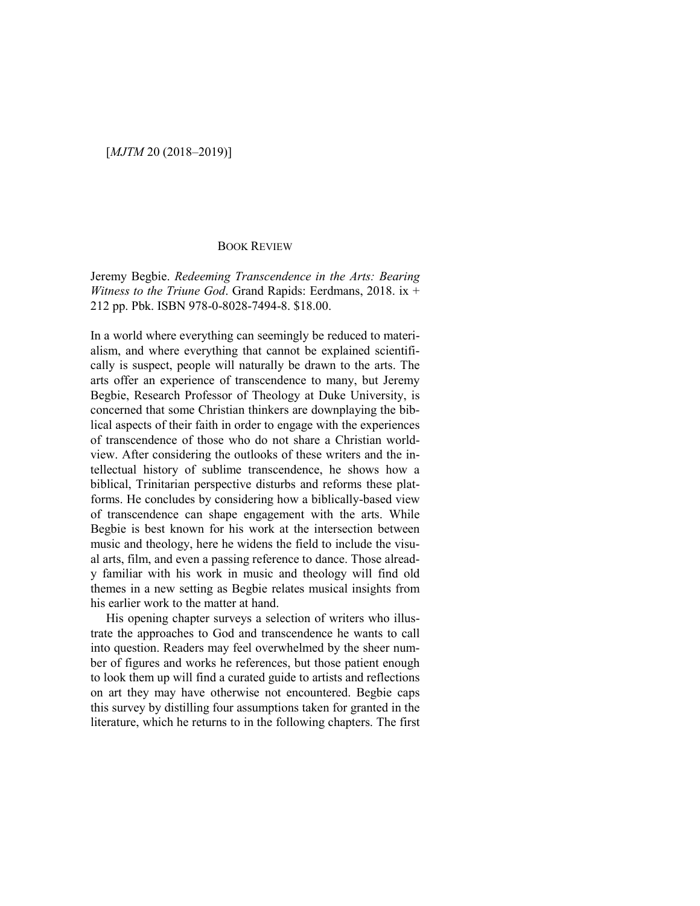## [*MJTM* 20 (2018–2019)]

## BOOK REVIEW

Jeremy Begbie. *Redeeming Transcendence in the Arts: Bearing Witness to the Triune God*. Grand Rapids: Eerdmans, 2018. ix + 212 pp. Pbk. ISBN 978-0-8028-7494-8. \$18.00.

In a world where everything can seemingly be reduced to materialism, and where everything that cannot be explained scientifically is suspect, people will naturally be drawn to the arts. The arts offer an experience of transcendence to many, but Jeremy Begbie, Research Professor of Theology at Duke University, is concerned that some Christian thinkers are downplaying the biblical aspects of their faith in order to engage with the experiences of transcendence of those who do not share a Christian worldview. After considering the outlooks of these writers and the intellectual history of sublime transcendence, he shows how a biblical, Trinitarian perspective disturbs and reforms these platforms. He concludes by considering how a biblically-based view of transcendence can shape engagement with the arts. While Begbie is best known for his work at the intersection between music and theology, here he widens the field to include the visual arts, film, and even a passing reference to dance. Those already familiar with his work in music and theology will find old themes in a new setting as Begbie relates musical insights from his earlier work to the matter at hand.

His opening chapter surveys a selection of writers who illustrate the approaches to God and transcendence he wants to call into question. Readers may feel overwhelmed by the sheer number of figures and works he references, but those patient enough to look them up will find a curated guide to artists and reflections on art they may have otherwise not encountered. Begbie caps this survey by distilling four assumptions taken for granted in the literature, which he returns to in the following chapters. The first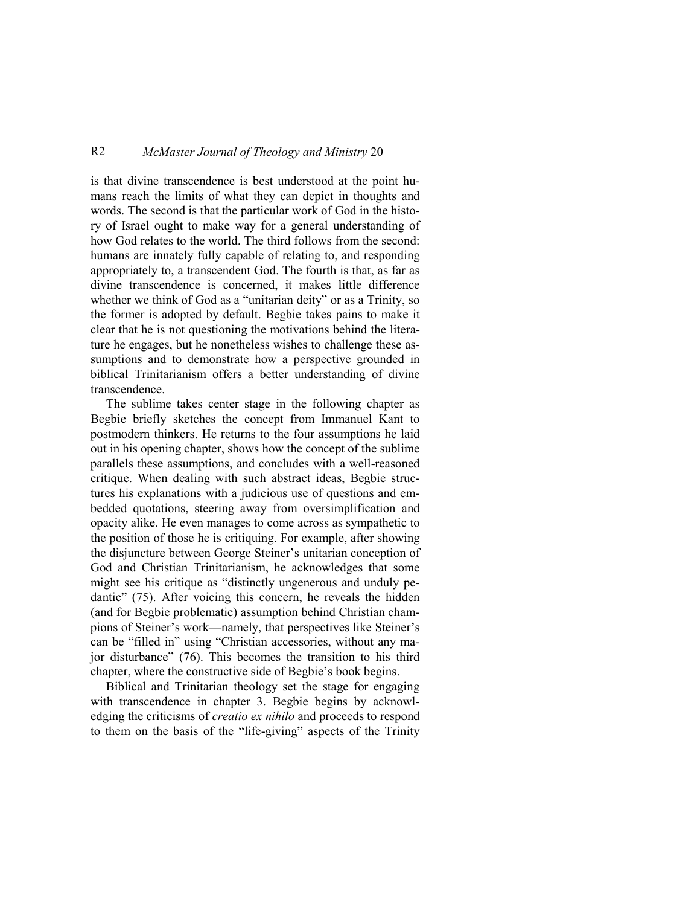## R2 *McMaster Journal of Theology and Ministry* 20

is that divine transcendence is best understood at the point humans reach the limits of what they can depict in thoughts and words. The second is that the particular work of God in the history of Israel ought to make way for a general understanding of how God relates to the world. The third follows from the second: humans are innately fully capable of relating to, and responding appropriately to, a transcendent God. The fourth is that, as far as divine transcendence is concerned, it makes little difference whether we think of God as a "unitarian deity" or as a Trinity, so the former is adopted by default. Begbie takes pains to make it clear that he is not questioning the motivations behind the literature he engages, but he nonetheless wishes to challenge these assumptions and to demonstrate how a perspective grounded in biblical Trinitarianism offers a better understanding of divine transcendence.

The sublime takes center stage in the following chapter as Begbie briefly sketches the concept from Immanuel Kant to postmodern thinkers. He returns to the four assumptions he laid out in his opening chapter, shows how the concept of the sublime parallels these assumptions, and concludes with a well-reasoned critique. When dealing with such abstract ideas, Begbie structures his explanations with a judicious use of questions and embedded quotations, steering away from oversimplification and opacity alike. He even manages to come across as sympathetic to the position of those he is critiquing. For example, after showing the disjuncture between George Steiner's unitarian conception of God and Christian Trinitarianism, he acknowledges that some might see his critique as "distinctly ungenerous and unduly pedantic" (75). After voicing this concern, he reveals the hidden (and for Begbie problematic) assumption behind Christian champions of Steiner's work—namely, that perspectives like Steiner's can be "filled in" using "Christian accessories, without any major disturbance" (76). This becomes the transition to his third chapter, where the constructive side of Begbie's book begins.

Biblical and Trinitarian theology set the stage for engaging with transcendence in chapter 3. Begbie begins by acknowledging the criticisms of *creatio ex nihilo* and proceeds to respond to them on the basis of the "life-giving" aspects of the Trinity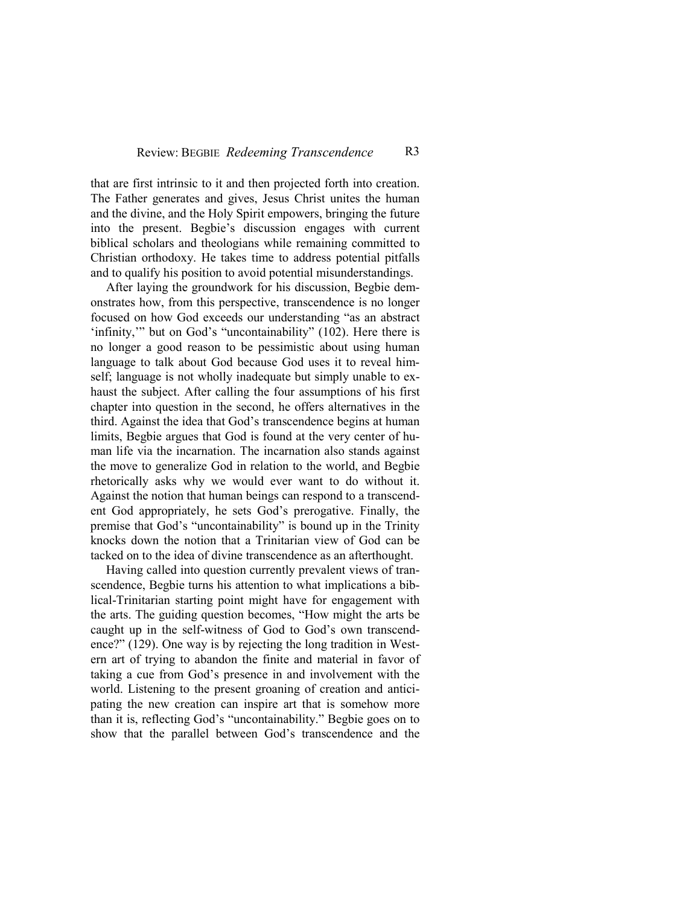that are first intrinsic to it and then projected forth into creation. The Father generates and gives, Jesus Christ unites the human and the divine, and the Holy Spirit empowers, bringing the future into the present. Begbie's discussion engages with current biblical scholars and theologians while remaining committed to Christian orthodoxy. He takes time to address potential pitfalls and to qualify his position to avoid potential misunderstandings.

After laying the groundwork for his discussion, Begbie demonstrates how, from this perspective, transcendence is no longer focused on how God exceeds our understanding "as an abstract 'infinity,'" but on God's "uncontainability" (102). Here there is no longer a good reason to be pessimistic about using human language to talk about God because God uses it to reveal himself; language is not wholly inadequate but simply unable to exhaust the subject. After calling the four assumptions of his first chapter into question in the second, he offers alternatives in the third. Against the idea that God's transcendence begins at human limits, Begbie argues that God is found at the very center of human life via the incarnation. The incarnation also stands against the move to generalize God in relation to the world, and Begbie rhetorically asks why we would ever want to do without it. Against the notion that human beings can respond to a transcendent God appropriately, he sets God's prerogative. Finally, the premise that God's "uncontainability" is bound up in the Trinity knocks down the notion that a Trinitarian view of God can be tacked on to the idea of divine transcendence as an afterthought.

Having called into question currently prevalent views of transcendence, Begbie turns his attention to what implications a biblical-Trinitarian starting point might have for engagement with the arts. The guiding question becomes, "How might the arts be caught up in the self-witness of God to God's own transcendence?" (129). One way is by rejecting the long tradition in Western art of trying to abandon the finite and material in favor of taking a cue from God's presence in and involvement with the world. Listening to the present groaning of creation and anticipating the new creation can inspire art that is somehow more than it is, reflecting God's "uncontainability." Begbie goes on to show that the parallel between God's transcendence and the